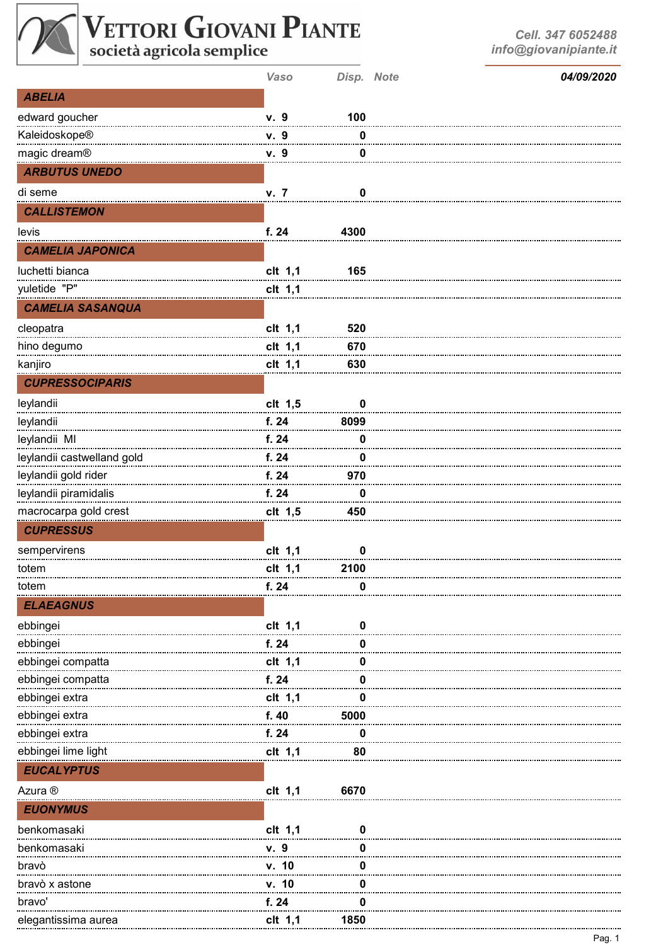

## $\begin{array}{c} \mathbf{V} \small \textsc{ETTORI} \ \mathbf{GIOVANI} \ \mathbf{P} \small \textsc{IANTE} \\ \textsc{social semple} \end{array}$

*Cell. 347 6052488 info@giovanipiante.it*

*04/09/2020*

| <b>ABELIA</b>              |         |      |  |
|----------------------------|---------|------|--|
| edward goucher             | v. 9    | 100  |  |
| Kaleidoskope®              | v. 9    | 0    |  |
| magic dream®               | v. 9    | 0    |  |
| <b>ARBUTUS UNEDO</b>       |         |      |  |
| di seme                    | v.7     | 0    |  |
| <b>CALLISTEMON</b>         |         |      |  |
| levis                      | f. 24   | 4300 |  |
| <b>CAMELIA JAPONICA</b>    |         |      |  |
| luchetti bianca            | clt 1,1 | 165  |  |
| yuletide "P"               | clt 1,1 |      |  |
| <b>CAMELIA SASANQUA</b>    |         |      |  |
|                            |         |      |  |
| cleopatra                  | clt 1,1 | 520  |  |
| hino degumo                | clt 1,1 | 670  |  |
| kanjiro                    | clt 1,1 | 630  |  |
| <b>CUPRESSOCIPARIS</b>     |         |      |  |
| leylandii                  | clt 1,5 | 0    |  |
| leylandii                  | f. 24   | 8099 |  |
| leylandii MI               | f. 24   | 0    |  |
| leylandii castwelland gold | f. 24   | 0    |  |
| leylandii gold rider       | f. 24   | 970  |  |
| leylandii piramidalis      | f. 24   | 0    |  |
| macrocarpa gold crest      | clt 1,5 | 450  |  |
| <b>CUPRESSUS</b>           |         |      |  |
| sempervirens               | clt 1,1 | 0    |  |
| totem                      | clt 1,1 | 2100 |  |
| totem                      | f. 24   | 0    |  |
| <b>ELAEAGNUS</b>           |         |      |  |
| ebbingei                   | clt 1,1 | 0    |  |
| ebbingei                   | f. 24   | 0    |  |
| ebbingei compatta          | clt 1,1 | 0    |  |
| ebbingei compatta          | f. 24   | 0    |  |
| ebbingei extra             | clt 1,1 | 0    |  |
| ebbingei extra             | f. 40   | 5000 |  |
| ebbingei extra             | f. 24   | 0    |  |
| ebbingei lime light        | clt 1,1 | 80   |  |
| <b>EUCALYPTUS</b>          |         |      |  |
| Azura ®                    | clt 1,1 | 6670 |  |
| <b>EUONYMUS</b>            |         |      |  |
| benkomasaki                | clt 1,1 | 0    |  |
| benkomasaki                | v. 9    | 0    |  |
|                            | v. 10   | 0    |  |
| bravò                      |         |      |  |
| bravò x astone             | v. 10   | 0    |  |
| bravo'                     | f. 24   | 0    |  |
| elegantissima aurea        | clt 1,1 | 1850 |  |

*Vaso Disp. Note*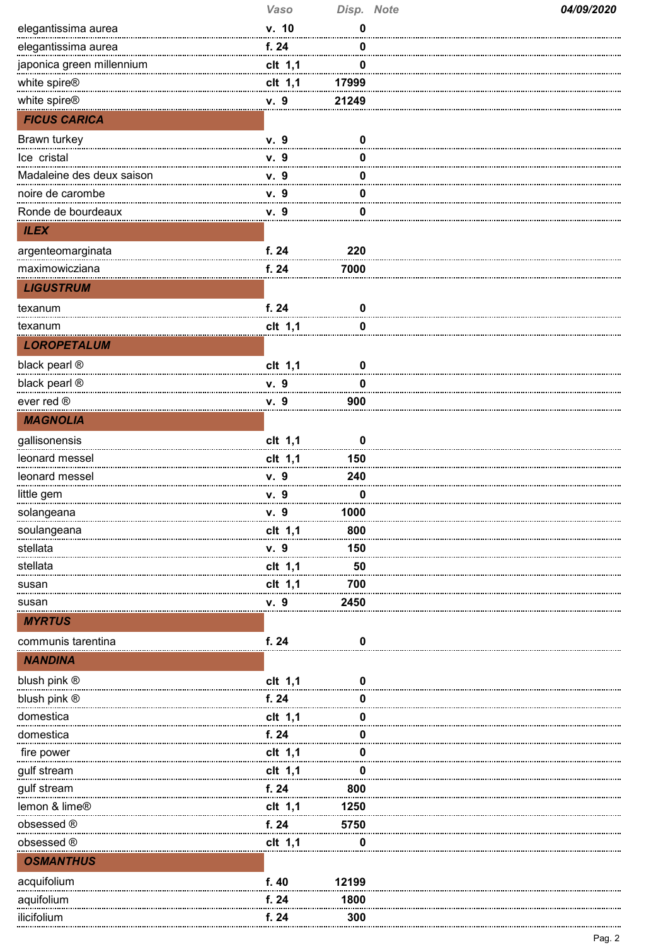|                           | Vaso    |       | Disp. Note<br>04/09/2020 |
|---------------------------|---------|-------|--------------------------|
| elegantissima aurea       | v. 10   | 0     |                          |
| elegantissima aurea       | f. 24   | 0     |                          |
| japonica green millennium | clt 1,1 | 0     |                          |
| white spire®              | clt 1,1 | 17999 |                          |
| white spire <sup>®</sup>  | v. 9    | 21249 |                          |
| <b>FICUS CARICA</b>       |         |       |                          |
| Brawn turkey              | v. 9    | 0     |                          |
| Ice cristal               | v. 9    | 0     |                          |
| Madaleine des deux saison | v. 9    | 0     |                          |
| noire de carombe          | v. 9    | 0     |                          |
| Ronde de bourdeaux        | v. 9    | 0     |                          |
| <b>ILEX</b>               |         |       |                          |
| argenteomarginata         | f. 24   | 220   |                          |
| maximowicziana            | f. 24   | 7000  |                          |
| <b>LIGUSTRUM</b>          |         |       |                          |
|                           | f. 24   | 0     |                          |
| texanum                   |         |       |                          |
| texanum                   | clt 1,1 | 0     |                          |
| <b>LOROPETALUM</b>        |         |       |                          |
| black pearl ®             | clt 1,1 | 0     |                          |
| black pearl ®             | v. 9    | 0     |                          |
| ever red ®                | v. 9    | 900   |                          |
| <b>MAGNOLIA</b>           |         |       |                          |
| gallisonensis             | clt 1,1 | 0     |                          |
| leonard messel            | clt 1,1 | 150   |                          |
| leonard messel            | v. 9    | 240   |                          |
| little gem                | v. 9    | 0     |                          |
| solangeana                | v. 9    | 1000  |                          |
| soulangeana               | clt 1,1 | 800   |                          |
| stellata                  | v. 9    | 150   |                          |
| stellata                  | clt 1,1 | 50    |                          |
| susan                     | clt 1,1 | 700   |                          |
| susan                     | v. 9    | 2450  |                          |
| <b>MYRTUS</b>             |         |       |                          |
| communis tarentina        | f. 24   | 0     |                          |
| <b>NANDINA</b>            |         |       |                          |
| blush pink ®              | clt 1,1 | 0     |                          |
| blush pink ®              | f. 24   | 0     |                          |
| domestica                 | clt 1,1 | 0     |                          |
| domestica                 | f. 24   | 0     |                          |
| fire power                | clt 1,1 | 0     |                          |
| gulf stream               | clt 1,1 | 0     |                          |
| gulf stream               | f. 24   | 800   |                          |
| lemon & lime®             | clt 1,1 | 1250  |                          |
| obsessed ®                | f. 24   | 5750  |                          |
| obsessed ®                | clt 1,1 | 0     |                          |
| <b>OSMANTHUS</b>          |         |       |                          |
| acquifolium               | f. 40   | 12199 |                          |
| aquifolium                | f. 24   | 1800  |                          |
| ilicifolium               | f. 24   | 300   |                          |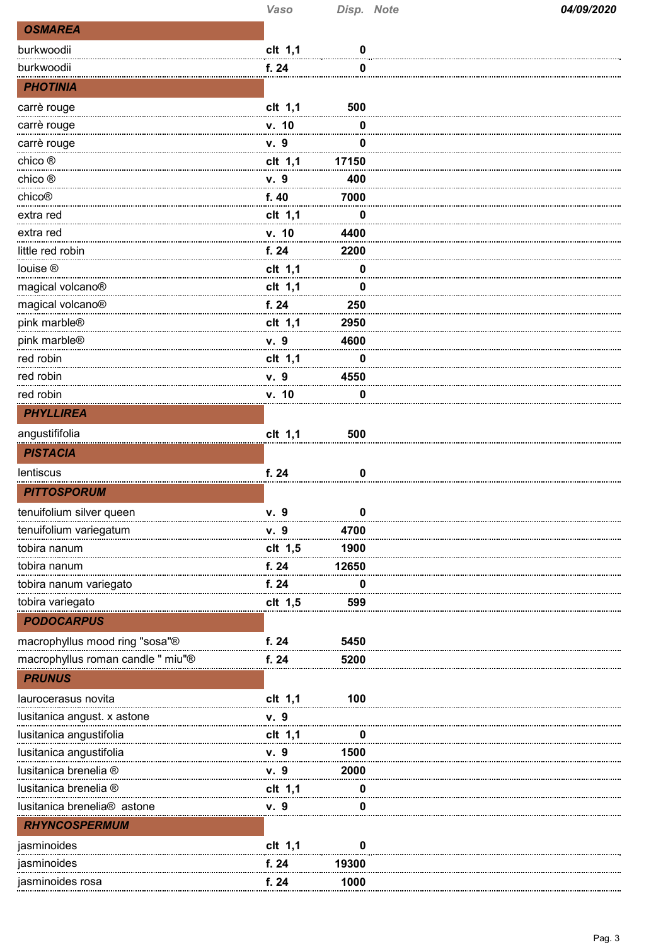|                                               | Vaso      | Disp. Note | 04/09/2020 |
|-----------------------------------------------|-----------|------------|------------|
| <b>OSMAREA</b>                                |           |            |            |
| burkwoodii                                    | clt 1,1   | 0          |            |
| burkwoodii                                    | f. 24     | 0          |            |
| <b>PHOTINIA</b>                               |           |            |            |
| carrè rouge                                   | clt 1,1   | 500        |            |
| carrè rouge                                   | v. 10     | 0          |            |
| carrè rouge                                   | v. 9      | 0          |            |
| chico ®                                       | clt 1,1   | 17150      |            |
| chico ®                                       | v. 9      | 400        |            |
| chico®                                        | f. 40     | 7000       |            |
| extra red                                     | clt 1,1   | 0          |            |
| extra red                                     | v. 10     | 4400       |            |
| little red robin                              | f. 24     | 2200       |            |
| louise ®                                      | clt 1,1   | 0          |            |
| magical volcano <sup>®</sup>                  | $clt$ 1,1 | 0          |            |
| magical volcano <sup>®</sup>                  | f. 24     | 250        |            |
| pink marble®                                  | clt 1,1   | 2950       |            |
| pink marble <sup>®</sup>                      | v. 9      | 4600       |            |
| red robin                                     | clt 1,1   | 0          |            |
| red robin                                     | v. 9      | 4550       |            |
| red robin                                     | v. 10     | 0          |            |
| <b>PHYLLIREA</b>                              |           |            |            |
| angustififolia                                | clt 1,1   | 500        |            |
| <b>PISTACIA</b>                               |           |            |            |
| lentiscus                                     | f. 24     | 0          |            |
| <b>PITTOSPORUM</b>                            |           |            |            |
| tenuifolium silver queen                      | v. 9      | 0          |            |
| tenuifolium variegatum                        | v. 9      | 4700       |            |
| tobira nanum                                  | $clt$ 1,5 | 1900       |            |
| tobira nanum                                  | f. 24     | 12650      |            |
| tobira nanum variegato                        | f. 24     | 0          |            |
| tobira variegato                              | clt 1,5   | 599        |            |
| <b>PODOCARPUS</b>                             |           |            |            |
| macrophyllus mood ring "sosa"®                | f. 24     | 5450       |            |
| macrophyllus roman candle " miu" <sup>®</sup> | f. 24     | 5200       |            |
| <b>PRUNUS</b>                                 |           |            |            |
| laurocerasus novita                           | clt 1,1   | 100        |            |
| lusitanica angust. x astone                   | v. 9      |            |            |
| lusitanica angustifolia                       | clt 1,1   | 0          |            |
| lusitanica angustifolia                       | v. 9      | 1500       |            |
| lusitanica brenelia ®                         | v. 9      | 2000       |            |
| lusitanica brenelia ®                         | clt 1,1   | 0          |            |
| lusitanica brenelia® astone                   | v. 9      | 0          |            |
| <b>RHYNCOSPERMUM</b>                          |           |            |            |
| jasminoides                                   | clt 1,1   | 0          |            |
| jasminoides                                   | f. 24     | 19300      |            |
| jasminoides rosa                              | f. 24     | 1000       |            |